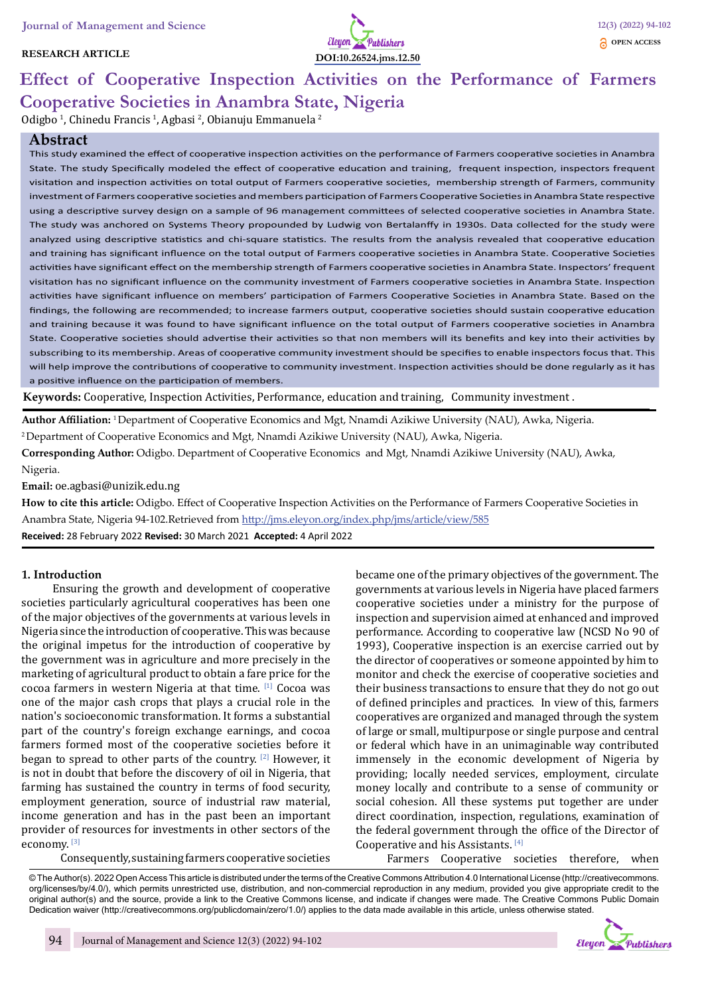### **RESEARCH ARTICLE**



# **Effect of Cooperative Inspection Activities on the Performance of Farmers Cooperative Societies in Anambra State, Nigeria**

Odigbo<sup>1</sup>, Chinedu Francis<sup>1</sup>, Agbasi<sup>2</sup>, Obianuju Emmanuela<sup>2</sup>

# **Abstract**

This study examined the effect of cooperative inspection activities on the performance of Farmers cooperative societies in Anambra State. The study Specifically modeled the effect of cooperative education and training, frequent inspection, inspectors frequent visitation and inspection activities on total output of Farmers cooperative societies, membership strength of Farmers, community investment of Farmers cooperative societies and members participation of Farmers Cooperative Societies in Anambra State respective using a descriptive survey design on a sample of 96 management committees of selected cooperative societies in Anambra State. The study was anchored on Systems Theory propounded by Ludwig von Bertalanffy in 1930s. Data collected for the study were analyzed using descriptive statistics and chi-square statistics. The results from the analysis revealed that cooperative education and training has significant influence on the total output of Farmers cooperative societies in Anambra State. Cooperative Societies activities have significant effect on the membership strength of Farmers cooperative societies in Anambra State. Inspectors' frequent visitation has no significant influence on the community investment of Farmers cooperative societies in Anambra State. Inspection activities have significant influence on members' participation of Farmers Cooperative Societies in Anambra State. Based on the findings, the following are recommended; to increase farmers output, cooperative societies should sustain cooperative education and training because it was found to have significant influence on the total output of Farmers cooperative societies in Anambra State. Cooperative societies should advertise their activities so that non members will its benefits and key into their activities by subscribing to its membership. Areas of cooperative community investment should be specifies to enable inspectors focus that. This will help improve the contributions of cooperative to community investment. Inspection activities should be done regularly as it has a positive influence on the participation of members.

**Keywords:** Cooperative, Inspection Activities, Performance, education and training, Community investment .

**Author Affiliation:** 1 Department of Cooperative Economics and Mgt, Nnamdi Azikiwe University (NAU), Awka, Nigeria.

2 Department of Cooperative Economics and Mgt, Nnamdi Azikiwe University (NAU), Awka, Nigeria.

**Corresponding Author:** Odigbo. Department of Cooperative Economics and Mgt, Nnamdi Azikiwe University (NAU), Awka, Nigeria.

**Email:** oe.agbasi@unizik.edu.ng

**How to cite this article:** Odigbo. Effect of Cooperative Inspection Activities on the Performance of Farmers Cooperative Societies in Anambra State, Nigeria 94-102.Retrieved from http://jms.eleyon.org/index.php/jms/article/view/585

**Received:** 28 February 2022 **Revised:** 30 March 2021 **Accepted:** 4 April 2022

# **1. Introduction**

Ensuring the growth and development of cooperative societies particularly agricultural cooperatives has been one of the major objectives of the governments at various levels in Nigeria since the introduction of cooperative. This was because the original impetus for the introduction of cooperative by the government was in agriculture and more precisely in the marketing of agricultural product to obtain a fare price for the cocoa farmers in western Nigeria at that time. [1] Cocoa was one of the major cash crops that plays a crucial role in the nation's socioeconomic transformation. It forms a substantial part of the country's foreign exchange earnings, and cocoa farmers formed most of the cooperative societies before it began to spread to other parts of the country.  $[2]$  However, it is not in doubt that before the discovery of oil in Nigeria, that farming has sustained the country in terms of food security, employment generation, source of industrial raw material, income generation and has in the past been an important provider of resources for investments in other sectors of the economy. [3]

Consequently, sustaining farmers cooperative societies

became one of the primary objectives of the government. The governments at various levels in Nigeria have placed farmers cooperative societies under a ministry for the purpose of inspection and supervision aimed at enhanced and improved performance. According to cooperative law (NCSD No 90 of 1993), Cooperative inspection is an exercise carried out by the director of cooperatives or someone appointed by him to monitor and check the exercise of cooperative societies and their business transactions to ensure that they do not go out of defined principles and practices. In view of this, farmers cooperatives are organized and managed through the system of large or small, multipurpose or single purpose and central or federal which have in an unimaginable way contributed immensely in the economic development of Nigeria by providing; locally needed services, employment, circulate money locally and contribute to a sense of community or social cohesion. All these systems put together are under direct coordination, inspection, regulations, examination of the federal government through the office of the Director of Cooperative and his Assistants. [4]

Farmers Cooperative societies therefore, when

© The Author(s). 2022 Open Access This article is distributed under the terms of the Creative Commons Attribution 4.0 International License (http://creativecommons. org/licenses/by/4.0/), which permits unrestricted use, distribution, and non-commercial reproduction in any medium, provided you give appropriate credit to the original author(s) and the source, provide a link to the Creative Commons license, and indicate if changes were made. The Creative Commons Public Domain Dedication waiver (http://creativecommons.org/publicdomain/zero/1.0/) applies to the data made available in this article, unless otherwise stated.

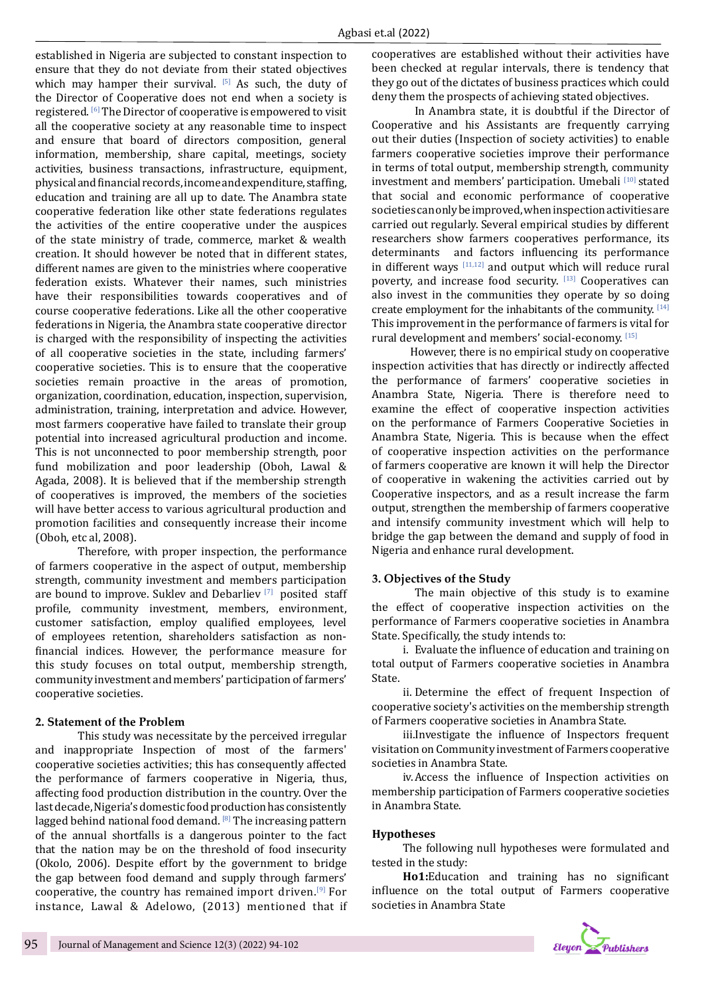established in Nigeria are subjected to constant inspection to ensure that they do not deviate from their stated objectives which may hamper their survival. [5] As such, the duty of the Director of Cooperative does not end when a society is registered. [6] The Director of cooperative is empowered to visit all the cooperative society at any reasonable time to inspect and ensure that board of directors composition, general information, membership, share capital, meetings, society activities, business transactions, infrastructure, equipment, physical and financial records, income and expenditure, staffing, education and training are all up to date. The Anambra state cooperative federation like other state federations regulates the activities of the entire cooperative under the auspices of the state ministry of trade, commerce, market & wealth creation. It should however be noted that in different states, different names are given to the ministries where cooperative federation exists. Whatever their names, such ministries have their responsibilities towards cooperatives and of course cooperative federations. Like all the other cooperative federations in Nigeria, the Anambra state cooperative director is charged with the responsibility of inspecting the activities of all cooperative societies in the state, including farmers' cooperative societies. This is to ensure that the cooperative societies remain proactive in the areas of promotion, organization, coordination, education, inspection, supervision, administration, training, interpretation and advice. However, most farmers cooperative have failed to translate their group potential into increased agricultural production and income. This is not unconnected to poor membership strength, poor fund mobilization and poor leadership (Oboh, Lawal & Agada, 2008). It is believed that if the membership strength of cooperatives is improved, the members of the societies will have better access to various agricultural production and promotion facilities and consequently increase their income (Oboh, etc al, 2008).

Therefore, with proper inspection, the performance of farmers cooperative in the aspect of output, membership strength, community investment and members participation are bound to improve. Suklev and Debarliev  $[7]$  posited staff profile, community investment, members, environment, customer satisfaction, employ qualified employees, level of employees retention, shareholders satisfaction as nonfinancial indices. However, the performance measure for this study focuses on total output, membership strength, community investment and members' participation of farmers' cooperative societies.

#### **2. Statement of the Problem**

This study was necessitate by the perceived irregular and inappropriate Inspection of most of the farmers' cooperative societies activities; this has consequently affected the performance of farmers cooperative in Nigeria, thus, affecting food production distribution in the country. Over the last decade, Nigeria's domestic food production has consistently lagged behind national food demand.  $[8]$  The increasing pattern of the annual shortfalls is a dangerous pointer to the fact that the nation may be on the threshold of food insecurity (Okolo, 2006). Despite effort by the government to bridge the gap between food demand and supply through farmers' cooperative, the country has remained import driven.<sup>[9]</sup> For instance, Lawal & Adelowo, (2013) mentioned that if cooperatives are established without their activities have been checked at regular intervals, there is tendency that they go out of the dictates of business practices which could deny them the prospects of achieving stated objectives.

In Anambra state, it is doubtful if the Director of Cooperative and his Assistants are frequently carrying out their duties (Inspection of society activities) to enable farmers cooperative societies improve their performance in terms of total output, membership strength, community investment and members' participation. Umebali [10] stated that social and economic performance of cooperative societies can only be improved, when inspection activities are carried out regularly. Several empirical studies by different researchers show farmers cooperatives performance, its determinants and factors influencing its performance in different ways  $[11,12]$  and output which will reduce rural poverty, and increase food security. [13] Cooperatives can also invest in the communities they operate by so doing create employment for the inhabitants of the community. [14] This improvement in the performance of farmers is vital for rural development and members' social-economy. [15]

 However, there is no empirical study on cooperative inspection activities that has directly or indirectly affected the performance of farmers' cooperative societies in Anambra State, Nigeria. There is therefore need to examine the effect of cooperative inspection activities on the performance of Farmers Cooperative Societies in Anambra State, Nigeria. This is because when the effect of cooperative inspection activities on the performance of farmers cooperative are known it will help the Director of cooperative in wakening the activities carried out by Cooperative inspectors, and as a result increase the farm output, strengthen the membership of farmers cooperative and intensify community investment which will help to bridge the gap between the demand and supply of food in Nigeria and enhance rural development.

# **3. Objectives of the Study**

The main objective of this study is to examine the effect of cooperative inspection activities on the performance of Farmers cooperative societies in Anambra State. Specifically, the study intends to:

i. Evaluate the influence of education and training on total output of Farmers cooperative societies in Anambra State.

ii. Determine the effect of frequent Inspection of cooperative society's activities on the membership strength of Farmers cooperative societies in Anambra State.

iii.Investigate the influence of Inspectors frequent visitation on Community investment of Farmers cooperative societies in Anambra State.

iv.Access the influence of Inspection activities on membership participation of Farmers cooperative societies in Anambra State.

#### **Hypotheses**

The following null hypotheses were formulated and tested in the study:

**Ho1:**Education and training has no significant influence on the total output of Farmers cooperative societies in Anambra State

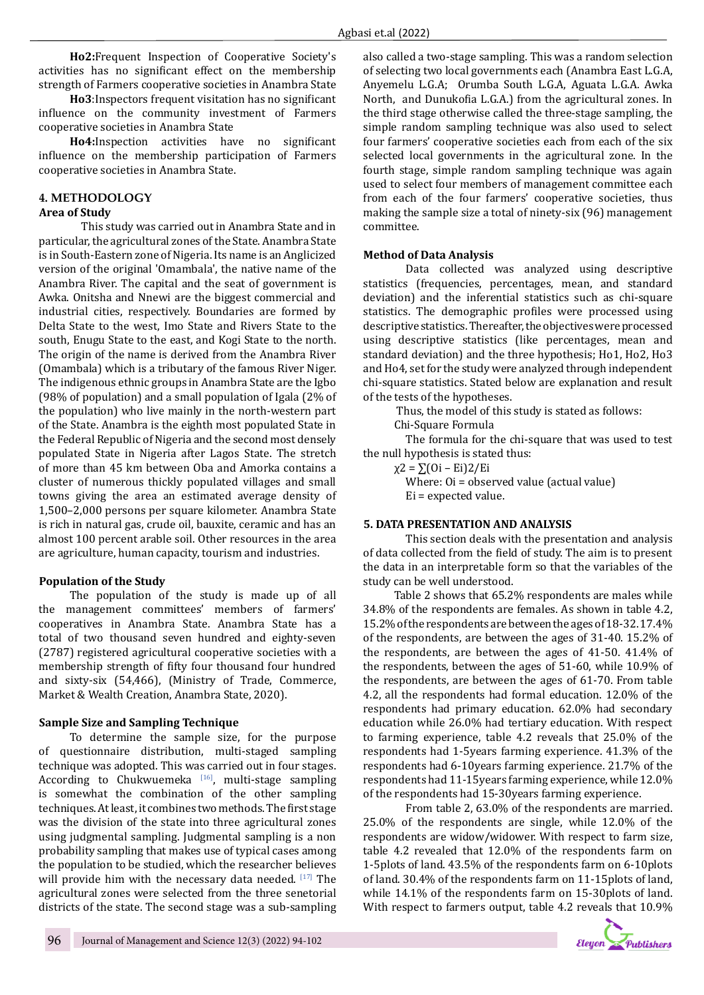**Ho2:**Frequent Inspection of Cooperative Society's activities has no significant effect on the membership strength of Farmers cooperative societies in Anambra State

**Ho3**:Inspectors frequent visitation has no significant influence on the community investment of Farmers cooperative societies in Anambra State

**Ho4:**Inspection activities have no significant influence on the membership participation of Farmers cooperative societies in Anambra State.

#### **4. METHODOLOGY Area of Study**

This study was carried out in Anambra State and in particular, the agricultural zones of the State. Anambra State is in South-Eastern zone of Nigeria. Its name is an Anglicized version of the original 'Omambala', the native name of the Anambra River. The capital and the seat of government is Awka. Onitsha and Nnewi are the biggest commercial and industrial cities, respectively. Boundaries are formed by Delta State to the west, Imo State and Rivers State to the south, Enugu State to the east, and Kogi State to the north. The origin of the name is derived from the Anambra River (Omambala) which is a tributary of the famous River Niger. The indigenous ethnic groups in Anambra State are the Igbo (98% of population) and a small population of Igala (2% of the population) who live mainly in the north-western part of the State. Anambra is the eighth most populated State in the Federal Republic of Nigeria and the second most densely populated State in Nigeria after Lagos State. The stretch of more than 45 km between Oba and Amorka contains a cluster of numerous thickly populated villages and small towns giving the area an estimated average density of 1,500–2,000 persons per square kilometer. Anambra State is rich in natural gas, crude oil, bauxite, ceramic and has an almost 100 percent arable soil. Other resources in the area are agriculture, human capacity, tourism and industries.

# **Population of the Study**

The population of the study is made up of all the management committees' members of farmers' cooperatives in Anambra State. Anambra State has a total of two thousand seven hundred and eighty-seven (2787) registered agricultural cooperative societies with a membership strength of fifty four thousand four hundred and sixty-six (54,466), (Ministry of Trade, Commerce, Market & Wealth Creation, Anambra State, 2020).

# **Sample Size and Sampling Technique**

To determine the sample size, for the purpose of questionnaire distribution, multi-staged sampling technique was adopted. This was carried out in four stages. According to Chukwuemeka [16], multi-stage sampling is somewhat the combination of the other sampling techniques. At least, it combines two methods. The first stage was the division of the state into three agricultural zones using judgmental sampling. Judgmental sampling is a non probability sampling that makes use of typical cases among the population to be studied, which the researcher believes will provide him with the necessary data needed. [17] The agricultural zones were selected from the three senetorial districts of the state. The second stage was a sub-sampling

also called a two-stage sampling. This was a random selection of selecting two local governments each (Anambra East L.G.A, Anyemelu L.G.A; Orumba South L.G.A, Aguata L.G.A. Awka North, and Dunukofia L.G.A.) from the agricultural zones. In the third stage otherwise called the three-stage sampling, the simple random sampling technique was also used to select four farmers' cooperative societies each from each of the six selected local governments in the agricultural zone. In the fourth stage, simple random sampling technique was again used to select four members of management committee each from each of the four farmers' cooperative societies, thus making the sample size a total of ninety-six (96) management committee.

# **Method of Data Analysis**

Data collected was analyzed using descriptive statistics (frequencies, percentages, mean, and standard deviation) and the inferential statistics such as chi-square statistics. The demographic profiles were processed using descriptive statistics. Thereafter, the objectives were processed using descriptive statistics (like percentages, mean and standard deviation) and the three hypothesis; Ho1, Ho2, Ho3 and Ho4, set for the study were analyzed through independent chi-square statistics. Stated below are explanation and result of the tests of the hypotheses.

Thus, the model of this study is stated as follows:

Chi-Square Formula

The formula for the chi-square that was used to test the null hypothesis is stated thus:

χ2 = ∑(Oi – Ei)2/Ei

Where: Oi = observed value (actual value) Ei = expected value.

# **5. DATA PRESENTATION AND ANALYSIS**

This section deals with the presentation and analysis of data collected from the field of study. The aim is to present the data in an interpretable form so that the variables of the study can be well understood.

Table 2 shows that 65.2% respondents are males while 34.8% of the respondents are females. As shown in table 4.2, 15.2% of the respondents are between the ages of 18-32. 17.4% of the respondents, are between the ages of 31-40. 15.2% of the respondents, are between the ages of 41-50. 41.4% of the respondents, between the ages of 51-60, while 10.9% of the respondents, are between the ages of 61-70. From table 4.2, all the respondents had formal education. 12.0% of the respondents had primary education. 62.0% had secondary education while 26.0% had tertiary education. With respect to farming experience, table 4.2 reveals that 25.0% of the respondents had 1-5years farming experience. 41.3% of the respondents had 6-10years farming experience. 21.7% of the respondents had 11-15years farming experience, while 12.0% of the respondents had 15-30years farming experience.

From table 2, 63.0% of the respondents are married. 25.0% of the respondents are single, while 12.0% of the respondents are widow/widower. With respect to farm size, table 4.2 revealed that 12.0% of the respondents farm on 1-5plots of land. 43.5% of the respondents farm on 6-10plots of land. 30.4% of the respondents farm on 11-15plots of land, while 14.1% of the respondents farm on 15-30plots of land. With respect to farmers output, table 4.2 reveals that 10.9%

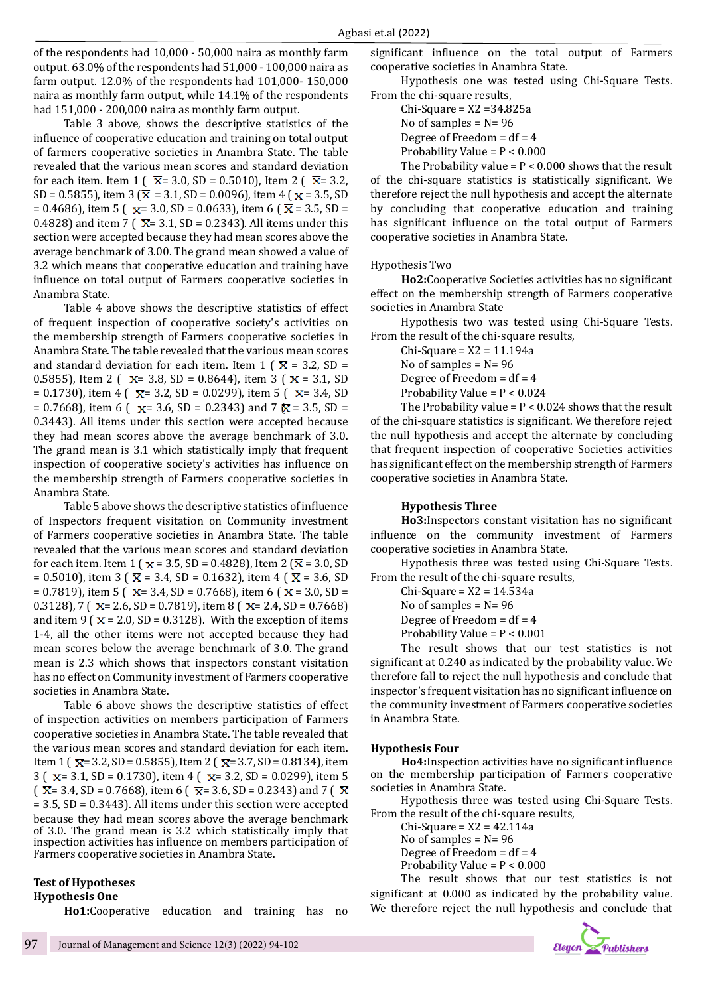of the respondents had 10,000 - 50,000 naira as monthly farm output. 63.0% of the respondents had 51,000 - 100,000 naira as farm output. 12.0% of the respondents had 101,000- 150,000 naira as monthly farm output, while 14.1% of the respondents had 151,000 - 200,000 naira as monthly farm output.

Table 3 above, shows the descriptive statistics of the influence of cooperative education and training on total output of farmers cooperative societies in Anambra State. The table revealed that the various mean scores and standard deviation for each item. Item 1 ( $\bar{x}$  = 3.0, SD = 0.5010), Item 2 ( $\bar{x}$  = 3.2, SD = 0.5855), item 3 ( $\bar{x}$  = 3.1, SD = 0.0096), item 4 ( $\bar{x}$  = 3.5, SD  $= 0.4686$ , item 5 ( $\overline{\mathbf{x}}$  = 3.0, SD = 0.0633), item 6 ( $\overline{\mathbf{x}}$  = 3.5, SD = 0.4828) and item 7 ( $\bar{x}$  = 3.1, SD = 0.2343). All items under this section were accepted because they had mean scores above the average benchmark of 3.00. The grand mean showed a value of 3.2 which means that cooperative education and training have influence on total output of Farmers cooperative societies in Anambra State.

Table 4 above shows the descriptive statistics of effect of frequent inspection of cooperative society's activities on the membership strength of Farmers cooperative societies in Anambra State. The table revealed that the various mean scores and standard deviation for each item. Item 1 ( $\overline{\mathbf{x}}$  = 3.2, SD = 0.5855), Item 2 (  $\overline{X}$  = 3.8, SD = 0.8644), item 3 (  $\overline{X}$  = 3.1, SD = 0.1730), item 4 ( $\overline{\mathbf{x}}$ = 3.2, SD = 0.0299), item 5 ( $\overline{\mathbf{x}}$ = 3.4, SD  $= 0.7668$ ), item 6 ( $\overline{\mathbf{x}}$  = 3.6, SD = 0.2343) and 7  $\overline{\mathbf{x}}$  = 3.5, SD = 0.3443). All items under this section were accepted because they had mean scores above the average benchmark of 3.0. The grand mean is 3.1 which statistically imply that frequent inspection of cooperative society's activities has influence on the membership strength of Farmers cooperative societies in Anambra State.

Table 5 above shows the descriptive statistics of influence of Inspectors frequent visitation on Community investment of Farmers cooperative societies in Anambra State. The table revealed that the various mean scores and standard deviation for each item. Item 1 ( $\bar{x}$  = 3.5, SD = 0.4828), Item 2 ( $\bar{x}$  = 3.0, SD = 0.5010), item 3 ( $\bar{x}$  = 3.4, SD = 0.1632), item 4 ( $\bar{x}$  = 3.6, SD = 0.7819), item 5 ( $\overline{X}$  = 3.4, SD = 0.7668), item 6 ( $\overline{X}$  = 3.0, SD = 0.3128), 7 ( $\overline{X}$  = 2.6, SD = 0.7819), item 8 ( $\overline{X}$  = 2.4, SD = 0.7668) and item 9 ( $\overline{\mathbf{x}}$  = 2.0, SD = 0.3128). With the exception of items 1-4, all the other items were not accepted because they had mean scores below the average benchmark of 3.0. The grand mean is 2.3 which shows that inspectors constant visitation has no effect on Community investment of Farmers cooperative societies in Anambra State.

Table 6 above shows the descriptive statistics of effect of inspection activities on members participation of Farmers cooperative societies in Anambra State. The table revealed that the various mean scores and standard deviation for each item. Item 1 ( $\overline{x}$  = 3.2, SD = 0.5855), Item 2 ( $\overline{x}$  = 3.7, SD = 0.8134), item 3 ( $\overline{x}$  = 3.1, SD = 0.1730), item 4 ( $\overline{x}$  = 3.2, SD = 0.0299), item 5  $\overline{X}$  = 3.4, SD = 0.7668), item 6 ( $\overline{X}$  = 3.6, SD = 0.2343) and 7 ( $\overline{X}$ = 3.5, SD = 0.3443). All items under this section were accepted because they had mean scores above the average benchmark of 3.0. The grand mean is 3.2 which statistically imply that inspection activities has influence on members participation of Farmers cooperative societies in Anambra State.

# **Test of Hypotheses Hypothesis One**

**Ho1:**Cooperative education and training has no

significant influence on the total output of Farmers cooperative societies in Anambra State.

Hypothesis one was tested using Chi-Square Tests. From the chi-square results,

Chi-Square = X2 =34.825a No of samples  $= N = 96$ Degree of Freedom =  $df = 4$ Probability Value = P < 0.000

The Probability value =  $P < 0.000$  shows that the result of the chi-square statistics is statistically significant. We therefore reject the null hypothesis and accept the alternate by concluding that cooperative education and training has significant influence on the total output of Farmers cooperative societies in Anambra State.

#### Hypothesis Two

**Ho2:**Cooperative Societies activities has no significant effect on the membership strength of Farmers cooperative societies in Anambra State

Hypothesis two was tested using Chi-Square Tests. From the result of the chi-square results,

Chi-Square = X2 = 11.194a

No of samples  $= N = 96$ 

Degree of Freedom  $= df = 4$ Probability Value = P < 0.024

The Probability value =  $P < 0.024$  shows that the result of the chi-square statistics is significant. We therefore reject the null hypothesis and accept the alternate by concluding that frequent inspection of cooperative Societies activities has significant effect on the membership strength of Farmers cooperative societies in Anambra State.

#### **Hypothesis Three**

**Ho3:**Inspectors constant visitation has no significant influence on the community investment of Farmers cooperative societies in Anambra State.

Hypothesis three was tested using Chi-Square Tests. From the result of the chi-square results,

> Chi-Square = X2 = 14.534a No of samples  $= N = 96$

Degree of Freedom  $= df = 4$ 

Probability Value =  $P < 0.001$ 

The result shows that our test statistics is not significant at 0.240 as indicated by the probability value. We therefore fall to reject the null hypothesis and conclude that inspector's frequent visitation has no significant influence on the community investment of Farmers cooperative societies in Anambra State.

#### **Hypothesis Four**

**Ho4:**Inspection activities have no significant influence on the membership participation of Farmers cooperative societies in Anambra State.

Hypothesis three was tested using Chi-Square Tests. From the result of the chi-square results,

 $Chi-Square = X2 = 42.114a$ No of samples  $= N = 96$ 

Degree of Freedom =  $df = 4$ 

Probability Value = P < 0.000

The result shows that our test statistics is not significant at 0.000 as indicated by the probability value. We therefore reject the null hypothesis and conclude that

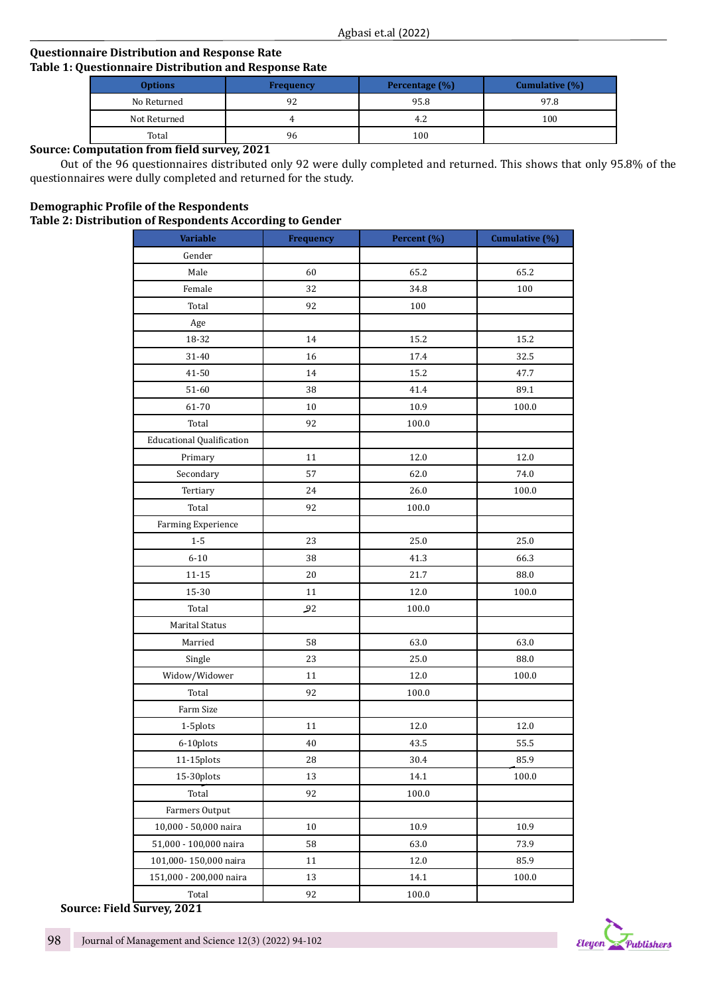# **Questionnaire Distribution and Response Rate Table 1: Questionnaire Distribution and Response Rate**

| <b>Options</b> | <b>Frequency</b> | <b>Percentage</b> (%) | Cumulative (%) |  |
|----------------|------------------|-----------------------|----------------|--|
| No Returned    | 92               | 95.8                  | 97.8           |  |
| Not Returned   |                  | 4.2                   | 100            |  |
| Total          | 96               | 100                   |                |  |

# **Source: Computation from field survey, 2021**

Out of the 96 questionnaires distributed only 92 were dully completed and returned. This shows that only 95.8% of the questionnaires were dully completed and returned for the study.

# **Demographic Profile of the Respondents Table 2: Distribution of Respondents According to Gender**

| <b>Variable</b>                  | ັ<br><b>Frequency</b> | Percent (%) | Cumulative (%) |
|----------------------------------|-----------------------|-------------|----------------|
| Gender                           |                       |             |                |
| Male                             | 60                    | 65.2        | 65.2           |
| Female                           | 32                    | 34.8        | 100            |
| Total                            | 92                    | 100         |                |
| Age                              |                       |             |                |
| 18-32                            | 14                    | 15.2        | 15.2           |
| 31-40                            | 16                    | 17.4        | 32.5           |
| 41-50                            | 14                    | 15.2        | 47.7           |
| 51-60                            | 38                    | 41.4        | 89.1           |
| 61-70                            | 10                    | 10.9        | 100.0          |
| Total                            | 92                    | 100.0       |                |
| <b>Educational Qualification</b> |                       |             |                |
| Primary                          | 11                    | 12.0        | 12.0           |
| Secondary                        | 57                    | 62.0        | 74.0           |
| Tertiary                         | 24                    | 26.0        | 100.0          |
| Total                            | 92                    | 100.0       |                |
| Farming Experience               |                       |             |                |
| $1-5$                            | 23                    | 25.0        | 25.0           |
| $6 - 10$                         | 38                    | 41.3        | 66.3           |
| $11 - 15$                        | 20                    | 21.7        | 88.0           |
| 15-30                            | 11                    | 12.0        | 100.0          |
| Total                            | 92                    | 100.0       |                |
| <b>Marital Status</b>            |                       |             |                |
| Married                          | 58                    | 63.0        | 63.0           |
| Single                           | 23                    | 25.0        | 88.0           |
| Widow/Widower                    | 11                    | 12.0        | 100.0          |
| Total                            | 92                    | 100.0       |                |
| Farm Size                        |                       |             |                |
| 1-5plots                         | 11                    | 12.0        | 12.0           |
| 6-10plots                        | 40                    | 43.5        | 55.5           |
| 11-15plots                       | 28                    | 30.4        | 85.9           |
| 15-30plots                       | 13                    | 14.1        | 100.0          |
| Total                            | 92                    | 100.0       |                |
| Farmers Output                   |                       |             |                |
| 10,000 - 50,000 naira            | 10                    | 10.9        | 10.9           |
| 51,000 - 100,000 naira           | 58                    | 63.0        | 73.9           |
| 101,000-150,000 naira            | 11                    | 12.0        | 85.9           |
| 151,000 - 200,000 naira          | 13                    | 14.1        | 100.0          |
| Total                            | 92                    | 100.0       |                |

**Source: Field Survey, 2021**

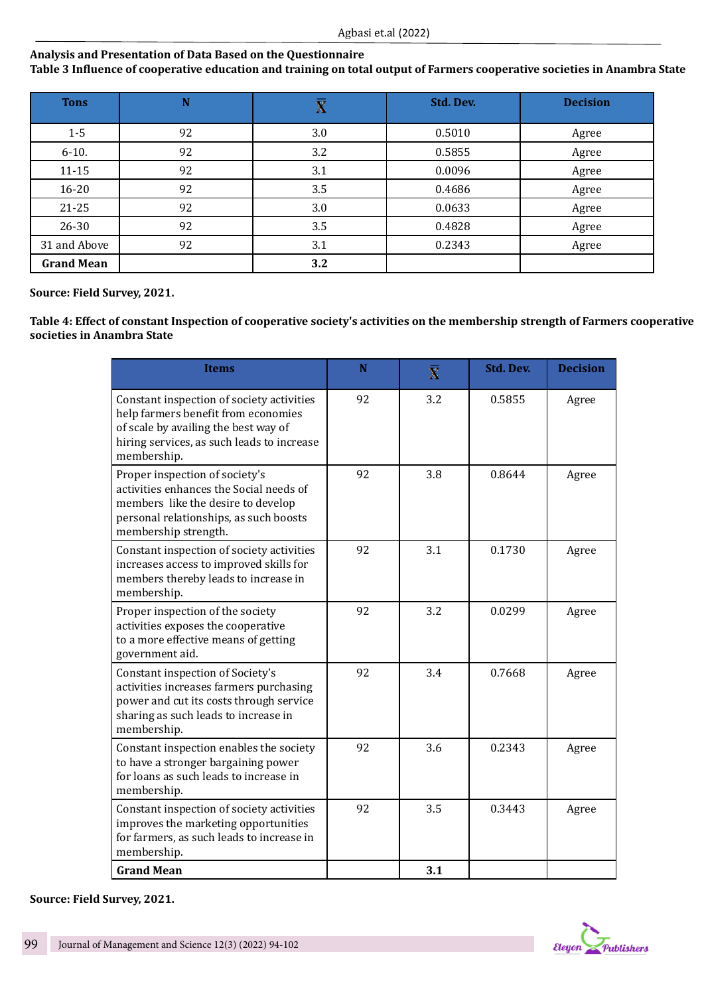# **Analysis and Presentation of Data Based on the Questionnaire**

**Table 3 Influence of cooperative education and training on total output of Farmers cooperative societies in Anambra State** 

| <b>Tons</b>       | N  | Χ   | Std. Dev. | <b>Decision</b> |
|-------------------|----|-----|-----------|-----------------|
| $1 - 5$           | 92 | 3.0 | 0.5010    | Agree           |
| $6-10.$           | 92 | 3.2 | 0.5855    | Agree           |
| $11 - 15$         | 92 | 3.1 | 0.0096    | Agree           |
| $16 - 20$         | 92 | 3.5 | 0.4686    | Agree           |
| $21 - 25$         | 92 | 3.0 | 0.0633    | Agree           |
| $26 - 30$         | 92 | 3.5 | 0.4828    | Agree           |
| 31 and Above      | 92 | 3.1 | 0.2343    | Agree           |
| <b>Grand Mean</b> |    | 3.2 |           |                 |

**Source: Field Survey, 2021.**

**Table 4: Effect of constant Inspection of cooperative society's activities on the membership strength of Farmers cooperative societies in Anambra State**

| <b>Items</b>                                                                                                                                                                          | $\mathbf N$ | $\overline{\mathbf{x}}$ | <b>Std. Dev.</b> | <b>Decision</b> |
|---------------------------------------------------------------------------------------------------------------------------------------------------------------------------------------|-------------|-------------------------|------------------|-----------------|
| Constant inspection of society activities<br>help farmers benefit from economies<br>of scale by availing the best way of<br>hiring services, as such leads to increase<br>membership. | 92          | 3.2                     | 0.5855           | Agree           |
| Proper inspection of society's<br>activities enhances the Social needs of<br>members like the desire to develop<br>personal relationships, as such boosts<br>membership strength.     | 92          | 3.8                     | 0.8644           | Agree           |
| Constant inspection of society activities<br>increases access to improved skills for<br>members thereby leads to increase in<br>membership.                                           | 92          | 3.1                     | 0.1730           | Agree           |
| Proper inspection of the society<br>activities exposes the cooperative<br>to a more effective means of getting<br>government aid.                                                     | 92          | 3.2                     | 0.0299           | Agree           |
| Constant inspection of Society's<br>activities increases farmers purchasing<br>power and cut its costs through service<br>sharing as such leads to increase in<br>membership.         | 92          | 3.4                     | 0.7668           | Agree           |
| Constant inspection enables the society<br>to have a stronger bargaining power<br>for loans as such leads to increase in<br>membership.                                               | 92          | 3.6                     | 0.2343           | Agree           |
| Constant inspection of society activities<br>improves the marketing opportunities<br>for farmers, as such leads to increase in<br>membership.                                         | 92          | 3.5                     | 0.3443           | Agree           |
| <b>Grand Mean</b>                                                                                                                                                                     |             | 3.1                     |                  |                 |

**Source: Field Survey, 2021.**

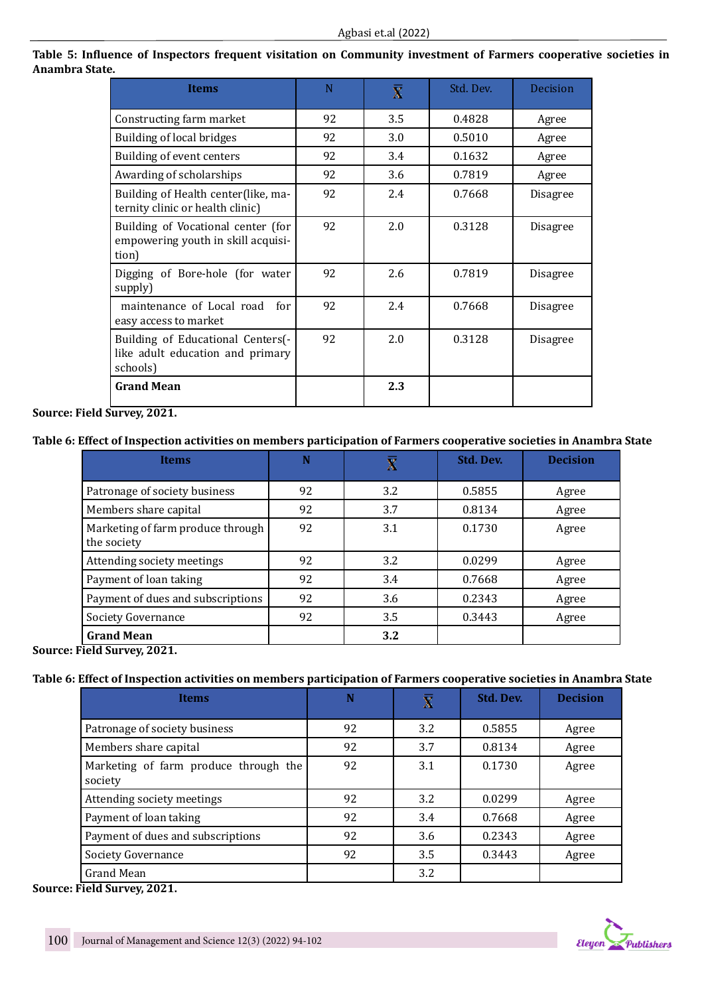| <b>Items</b>                                                                      | N  | $\overline{\mathbf{X}}$ | Std. Dev. | <b>Decision</b> |
|-----------------------------------------------------------------------------------|----|-------------------------|-----------|-----------------|
| Constructing farm market                                                          | 92 | 3.5                     | 0.4828    | Agree           |
| Building of local bridges                                                         | 92 | 3.0                     | 0.5010    | Agree           |
| Building of event centers                                                         | 92 | 3.4                     | 0.1632    | Agree           |
| Awarding of scholarships                                                          | 92 | 3.6                     | 0.7819    | Agree           |
| Building of Health center(like, ma-<br>ternity clinic or health clinic)           | 92 | 2.4                     | 0.7668    | <b>Disagree</b> |
| Building of Vocational center (for<br>empowering youth in skill acquisi-<br>tion) | 92 | 2.0                     | 0.3128    | <b>Disagree</b> |
| Digging of Bore-hole (for water<br>supply)                                        | 92 | 2.6                     | 0.7819    | Disagree        |
| maintenance of Local road<br>for<br>easy access to market                         | 92 | 2.4                     | 0.7668    | <b>Disagree</b> |
| Building of Educational Centers(-<br>like adult education and primary<br>schools) | 92 | 2.0                     | 0.3128    | <b>Disagree</b> |
| <b>Grand Mean</b>                                                                 |    | 2.3                     |           |                 |

# **Table 5: Influence of Inspectors frequent visitation on Community investment of Farmers cooperative societies in Anambra State.**

**Source: Field Survey, 2021.**

**Table 6: Effect of Inspection activities on members participation of Farmers cooperative societies in Anambra State**

| <b>Items</b>                                     | N  | Χ   | Std. Dev. | <b>Decision</b> |
|--------------------------------------------------|----|-----|-----------|-----------------|
| Patronage of society business                    | 92 | 3.2 | 0.5855    | Agree           |
| Members share capital                            | 92 | 3.7 | 0.8134    | Agree           |
| Marketing of farm produce through<br>the society | 92 | 3.1 | 0.1730    | Agree           |
| Attending society meetings                       | 92 | 3.2 | 0.0299    | Agree           |
| Payment of loan taking                           | 92 | 3.4 | 0.7668    | Agree           |
| Payment of dues and subscriptions                | 92 | 3.6 | 0.2343    | Agree           |
| Society Governance                               | 92 | 3.5 | 0.3443    | Agree           |
| <b>Grand Mean</b>                                |    | 3.2 |           |                 |

**Source: Field Survey, 2021.**

# **Table 6: Effect of Inspection activities on members participation of Farmers cooperative societies in Anambra State**

| <b>Items</b>                                     | N  | Χ   | Std. Dev. | <b>Decision</b> |
|--------------------------------------------------|----|-----|-----------|-----------------|
| Patronage of society business                    | 92 | 3.2 | 0.5855    | Agree           |
| Members share capital                            | 92 | 3.7 | 0.8134    | Agree           |
| Marketing of farm produce through the<br>society | 92 | 3.1 | 0.1730    | Agree           |
| Attending society meetings                       | 92 | 3.2 | 0.0299    | Agree           |
| Payment of loan taking                           | 92 | 3.4 | 0.7668    | Agree           |
| Payment of dues and subscriptions                | 92 | 3.6 | 0.2343    | Agree           |
| Society Governance                               | 92 | 3.5 | 0.3443    | Agree           |
| Grand Mean                                       |    | 3.2 |           |                 |

**Source: Field Survey, 2021.**

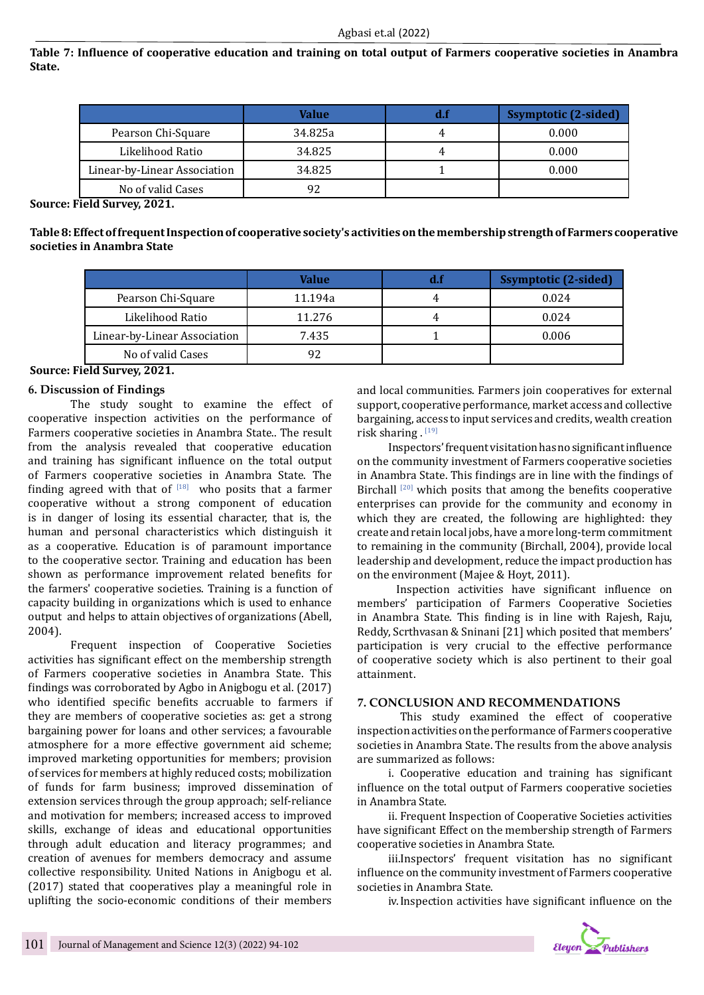**Table 7: Influence of cooperative education and training on total output of Farmers cooperative societies in Anambra State.**

|                              | Value   | <b>Ssymptotic (2-sided)</b> |
|------------------------------|---------|-----------------------------|
| Pearson Chi-Square           | 34.825a | 0.000                       |
| Likelihood Ratio             | 34.825  | 0.000                       |
| Linear-by-Linear Association | 34.825  | 0.000                       |
| No of valid Cases            | 92      |                             |

**Source: Field Survey, 2021.**

**Table 8: Effect of frequent Inspection of cooperative society's activities on the membership strength of Farmers cooperative societies in Anambra State**

|                              | Value   | <b>Ssymptotic (2-sided)</b> |
|------------------------------|---------|-----------------------------|
| Pearson Chi-Square           | 11.194a | 0.024                       |
| Likelihood Ratio             | 11.276  | 0.024                       |
| Linear-by-Linear Association | 7.435   | 0.006                       |
| No of valid Cases            |         |                             |

**Source: Field Survey, 2021.**

# **6. Discussion of Findings**

The study sought to examine the effect of cooperative inspection activities on the performance of Farmers cooperative societies in Anambra State.. The result from the analysis revealed that cooperative education and training has significant influence on the total output of Farmers cooperative societies in Anambra State. The finding agreed with that of  $[18]$  who posits that a farmer cooperative without a strong component of education is in danger of losing its essential character, that is, the human and personal characteristics which distinguish it as a cooperative. Education is of paramount importance to the cooperative sector. Training and education has been shown as performance improvement related benefits for the farmers' cooperative societies. Training is a function of capacity building in organizations which is used to enhance output and helps to attain objectives of organizations (Abell, 2004).

Frequent inspection of Cooperative Societies activities has significant effect on the membership strength of Farmers cooperative societies in Anambra State. This findings was corroborated by Agbo in Anigbogu et al. (2017) who identified specific benefits accruable to farmers if they are members of cooperative societies as: get a strong bargaining power for loans and other services; a favourable atmosphere for a more effective government aid scheme; improved marketing opportunities for members; provision of services for members at highly reduced costs; mobilization of funds for farm business; improved dissemination of extension services through the group approach; self-reliance and motivation for members; increased access to improved skills, exchange of ideas and educational opportunities through adult education and literacy programmes; and creation of avenues for members democracy and assume collective responsibility. United Nations in Anigbogu et al. (2017) stated that cooperatives play a meaningful role in uplifting the socio-economic conditions of their members

and local communities. Farmers join cooperatives for external support, cooperative performance, market access and collective bargaining, access to input services and credits, wealth creation risk sharing . [19]

Inspectors' frequent visitation has no significant influence on the community investment of Farmers cooperative societies in Anambra State. This findings are in line with the findings of Birchall<sup>[20]</sup> which posits that among the benefits cooperative enterprises can provide for the community and economy in which they are created, the following are highlighted: they create and retain local jobs, have a more long-term commitment to remaining in the community (Birchall, 2004), provide local leadership and development, reduce the impact production has on the environment (Majee & Hoyt, 2011).

 Inspection activities have significant influence on members' participation of Farmers Cooperative Societies in Anambra State. This finding is in line with Rajesh, Raju, Reddy, Scrthvasan & Sninani [21] which posited that members' participation is very crucial to the effective performance of cooperative society which is also pertinent to their goal attainment.

# **7. CONCLUSION AND RECOMMENDATIONS**

This study examined the effect of cooperative inspection activities on the performance of Farmers cooperative societies in Anambra State. The results from the above analysis are summarized as follows:

i. Cooperative education and training has significant influence on the total output of Farmers cooperative societies in Anambra State.

ii. Frequent Inspection of Cooperative Societies activities have significant Effect on the membership strength of Farmers cooperative societies in Anambra State.

iii.Inspectors' frequent visitation has no significant influence on the community investment of Farmers cooperative societies in Anambra State.

iv.Inspection activities have significant influence on the